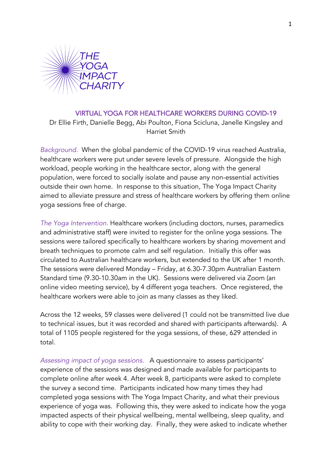

# VIRTUAL YOGA FOR HEALTHCARE WORKERS DURING COVID-19 Dr Ellie Firth, Danielle Begg, Abi Poulton, Fiona Scicluna, Janelle Kingsley and Harriet Smith

*Background.* When the global pandemic of the COVID-19 virus reached Australia, healthcare workers were put under severe levels of pressure. Alongside the high workload, people working in the healthcare sector, along with the general population, were forced to socially isolate and pause any non-essential activities outside their own home. In response to this situation, The Yoga Impact Charity aimed to alleviate pressure and stress of healthcare workers by offering them online yoga sessions free of charge.

*The Yoga Intervention.* Healthcare workers (including doctors, nurses, paramedics and administrative staff) were invited to register for the online yoga sessions. The sessions were tailored specifically to healthcare workers by sharing movement and breath techniques to promote calm and self regulation. Initially this offer was circulated to Australian healthcare workers, but extended to the UK after 1 month. The sessions were delivered Monday – Friday, at 6.30-7.30pm Australian Eastern Standard time (9.30-10.30am in the UK). Sessions were delivered via Zoom (an online video meeting service), by 4 different yoga teachers. Once registered, the healthcare workers were able to join as many classes as they liked.

Across the 12 weeks, 59 classes were delivered (1 could not be transmitted live due to technical issues, but it was recorded and shared with participants afterwards). A total of 1105 people registered for the yoga sessions, of these, 629 attended in total.

*Assessing impact of yoga sessions.* A questionnaire to assess participants' experience of the sessions was designed and made available for participants to complete online after week 4. After week 8, participants were asked to complete the survey a second time. Participants indicated how many times they had completed yoga sessions with The Yoga Impact Charity, and what their previous experience of yoga was. Following this, they were asked to indicate how the yoga impacted aspects of their physical wellbeing, mental wellbeing, sleep quality, and ability to cope with their working day. Finally, they were asked to indicate whether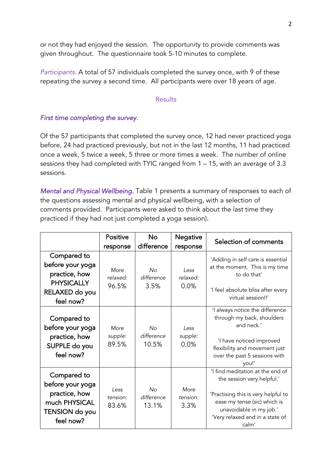or not they had enjoyed the session. The opportunity to provide comments was given throughout. The questionnaire took 5-10 minutes to complete.

*Participants.* A total of 57 individuals completed the survey once, with 9 of these repeating the survey a second time. All participants were over 18 years of age.

#### Results

### *First time completing the survey.*

Of the 57 participants that completed the survey once, 12 had never practiced yoga before, 24 had practiced previously, but not in the last 12 months, 11 had practiced once a week, 5 twice a week, 5 three or more times a week. The number of online sessions they had completed with TYIC ranged from 1 – 15, with an average of 3.3 sessions.

*Mental and Physical Wellbeing.* Table 1 presents a summary of responses to each of the questions assessing mental and physical wellbeing, with a selection of comments provided. Participants were asked to think about the last time they practiced if they had not just completed a yoga session).

|                                                                                                         | Positive                  | <b>No</b>                        | <b>Negative</b>          | Selection of comments                                                                                                                                                                                        |
|---------------------------------------------------------------------------------------------------------|---------------------------|----------------------------------|--------------------------|--------------------------------------------------------------------------------------------------------------------------------------------------------------------------------------------------------------|
|                                                                                                         | response                  | difference                       | response                 |                                                                                                                                                                                                              |
| Compared to<br>before your yoga<br>practice, how<br><b>PHYSICALLY</b><br>RELAXED do you<br>feel now?    | More<br>relaxed:<br>96.5% | <b>No</b><br>difference<br>3.5%  | Less<br>relaxed:<br>0.0% | 'Adding in self care is essential<br>at the moment. This is my time<br>to do that'<br>'I feel absolute bliss after every<br>virtual session!!'                                                               |
| Compared to<br>before your yoga<br>practice, how<br>SUPPLE do you<br>feel now?                          | More<br>supple:<br>89.5%  | Nο<br>difference<br>10.5%        | Less<br>supple:<br>0.0%  | 'I always notice the difference<br>through my back, shoulders<br>and neck.'<br>'I have noticed improved<br>flexibility and movement just<br>over the past 5 sessions with<br>you!'                           |
| Compared to<br>before your yoga<br>practice, how<br>much PHYSICAL<br><b>TENSION</b> do you<br>feel now? | Less<br>tension:<br>83.6% | <b>No</b><br>difference<br>13.1% | More<br>tension:<br>3.3% | 'I find meditation at the end of<br>the session very helpful.'<br>'Practising this is very helpful to<br>ease my tense (sic) which is<br>unavoidable in my job.'<br>'Very relaxed and in a state of<br>calm' |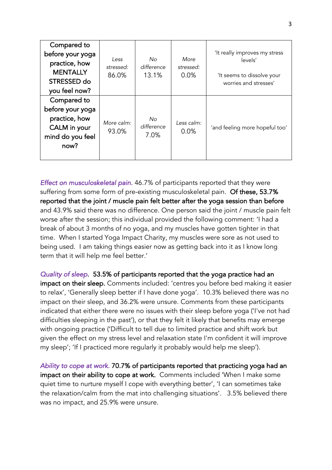| Compared to      |                   |                   |            |                                |
|------------------|-------------------|-------------------|------------|--------------------------------|
| before your yoga |                   |                   | More       | 'It really improves my stress  |
| practice, how    | Less<br>stressed: | No.<br>difference | stressed:  | levels'                        |
| <b>MENTALLY</b>  | 86.0%             | 13.1%             | 0.0%       | 'It seems to dissolve your     |
| STRESSED do      |                   |                   |            | worries and stresses'          |
| you feel now?    |                   |                   |            |                                |
| Compared to      |                   |                   |            |                                |
| before your yoga |                   |                   |            |                                |
| practice, how    | More calm:        | No.               | Less calm: |                                |
| CALM in your     | 93.0%             | difference        | 0.0%       | 'and feeling more hopeful too' |
| mind do you feel |                   | 7.0%              |            |                                |
| now?             |                   |                   |            |                                |
|                  |                   |                   |            |                                |

*Effect on musculoskeletal pain.* 46.7% of participants reported that they were suffering from some form of pre-existing musculoskeletal pain. Of these, 53.7% reported that the joint / muscle pain felt better after the yoga session than before and 43.9% said there was no difference. One person said the joint / muscle pain felt worse after the session; this individual provided the following comment: 'I had a break of about 3 months of no yoga, and my muscles have gotten tighter in that time. When I started Yoga Impact Charity, my muscles were sore as not used to being used. I am taking things easier now as getting back into it as I know long term that it will help me feel better.'

*Quality of sleep*. 53.5% of participants reported that the yoga practice had an impact on their sleep. Comments included: 'centres you before bed making it easier to relax', 'Generally sleep better if I have done yoga'. 10.3% believed there was no impact on their sleep, and 36.2% were unsure. Comments from these participants indicated that either there were no issues with their sleep before yoga ('I've not had difficulties sleeping in the past'), or that they felt it likely that benefits may emerge with ongoing practice ('Difficult to tell due to limited practice and shift work but given the effect on my stress level and relaxation state I'm confident it will improve my sleep'; 'If I practiced more regularly it probably would help me sleep').

*Ability to cope at work.* 70.7% of participants reported that practicing yoga had an impact on their ability to cope at work. Comments included 'When I make some quiet time to nurture myself I cope with everything better', 'I can sometimes take the relaxation/calm from the mat into challenging situations'. 3.5% believed there was no impact, and 25.9% were unsure.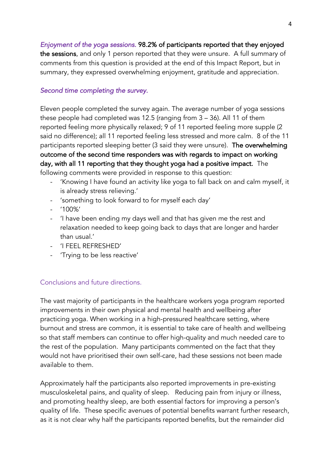*Enjoyment of the yoga sessions.* 98.2% of participants reported that they enjoyed the sessions, and only 1 person reported that they were unsure. A full summary of comments from this question is provided at the end of this Impact Report, but in summary, they expressed overwhelming enjoyment, gratitude and appreciation.

## *Second time completing the survey.*

Eleven people completed the survey again. The average number of yoga sessions these people had completed was 12.5 (ranging from 3 – 36). All 11 of them reported feeling more physically relaxed; 9 of 11 reported feeling more supple (2 said no difference); all 11 reported feeling less stressed and more calm. 8 of the 11 participants reported sleeping better (3 said they were unsure). The overwhelming outcome of the second time responders was with regards to impact on working day, with all 11 reporting that they thought yoga had a positive impact. The following comments were provided in response to this question:

- 'Knowing I have found an activity like yoga to fall back on and calm myself, it is already stress relieving.'
- 'something to look forward to for myself each day'
- '100%'
- 'I have been ending my days well and that has given me the rest and relaxation needed to keep going back to days that are longer and harder than usual.'
- 'I FEEL REFRESHED'
- 'Trying to be less reactive'

## Conclusions and future directions.

The vast majority of participants in the healthcare workers yoga program reported improvements in their own physical and mental health and wellbeing after practicing yoga. When working in a high-pressured healthcare setting, where burnout and stress are common, it is essential to take care of health and wellbeing so that staff members can continue to offer high-quality and much needed care to the rest of the population. Many participants commented on the fact that they would not have prioritised their own self-care, had these sessions not been made available to them.

Approximately half the participants also reported improvements in pre-existing musculoskeletal pains, and quality of sleep. Reducing pain from injury or illness, and promoting healthy sleep, are both essential factors for improving a person's quality of life. These specific avenues of potential benefits warrant further research, as it is not clear why half the participants reported benefits, but the remainder did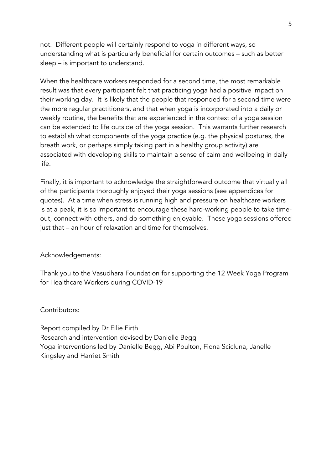not. Different people will certainly respond to yoga in different ways, so understanding what is particularly beneficial for certain outcomes – such as better sleep – is important to understand.

When the healthcare workers responded for a second time, the most remarkable result was that every participant felt that practicing yoga had a positive impact on their working day. It is likely that the people that responded for a second time were the more regular practitioners, and that when yoga is incorporated into a daily or weekly routine, the benefits that are experienced in the context of a yoga session can be extended to life outside of the yoga session. This warrants further research to establish what components of the yoga practice (e.g. the physical postures, the breath work, or perhaps simply taking part in a healthy group activity) are associated with developing skills to maintain a sense of calm and wellbeing in daily life.

Finally, it is important to acknowledge the straightforward outcome that virtually all of the participants thoroughly enjoyed their yoga sessions (see appendices for quotes). At a time when stress is running high and pressure on healthcare workers is at a peak, it is so important to encourage these hard-working people to take timeout, connect with others, and do something enjoyable. These yoga sessions offered just that – an hour of relaxation and time for themselves.

Acknowledgements:

Thank you to the Vasudhara Foundation for supporting the 12 Week Yoga Program for Healthcare Workers during COVID-19

Contributors:

Report compiled by Dr Ellie Firth Research and intervention devised by Danielle Begg Yoga interventions led by Danielle Begg, Abi Poulton, Fiona Scicluna, Janelle Kingsley and Harriet Smith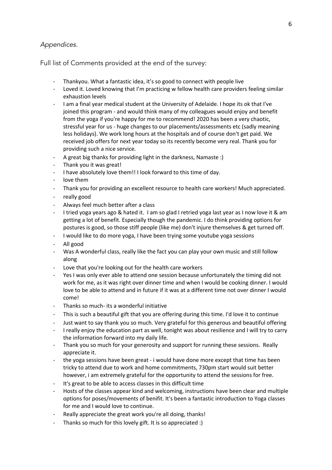### *Appendices.*

Full list of Comments provided at the end of the survey:

- Thankyou. What a fantastic idea, it's so good to connect with people live
- Loved it. Loved knowing that I'm practicing w fellow health care providers feeling similar exhaustion levels
- I am a final year medical student at the University of Adelaide. I hope its ok that I've joined this program - and would think many of my colleagues would enjoy and benefit from the yoga if you're happy for me to recommend! 2020 has been a very chaotic, stressful year for us - huge changes to our placements/assessments etc (sadly meaning less holidays). We work long hours at the hospitals and of course don't get paid. We received job offers for next year today so its recently become very real. Thank you for providing such a nice service.
- A great big thanks for providing light in the darkness, Namaste :)
- Thank you it was great!
- I have absolutely love them!! I look forward to this time of day.
- love them
- Thank you for providing an excellent resource to health care workers! Much appreciated.
- really good
- Always feel much better after a class
- I tried yoga years ago & hated it. I am so glad I retried yoga last year as I now love it & am getting a lot of benefit. Especially though the pandemic. I do think providing options for postures is good, so those stiff people (like me) don't injure themselves & get turned off.
- I would like to do more yoga, I have been trying some youtube yoga sessions
- All good
- Was A wonderful class, really like the fact you can play your own music and still follow along
- Love that you're looking out for the health care workers
- Yes I was only ever able to attend one session because unfortunately the timing did not work for me, as it was right over dinner time and when I would be cooking dinner. I would love to be able to attend and in future if it was at a different time not over dinner I would come!
- Thanks so much- its a wonderful initiative
- This is such a beautiful gift that you are offering during this time. I'd love it to continue
- Just want to say thank you so much. Very grateful for this generous and beautiful offering
- I really enjoy the education part as well, tonight was about resilience and I will try to carry the information forward into my daily life.
- Thank you so much for your generosity and support for running these sessions. Really appreciate it.
- the yoga sessions have been great i would have done more except that time has been tricky to attend due to work and home commitments, 730pm start would suit better however, i am extremely grateful for the opportunity to attend the sessions for free.
- It's great to be able to access classes in this difficult time
- Hosts of the classes appear kind and welcoming, instructions have been clear and multiple options for poses/movements of benifit. It's been a fantastic introduction to Yoga classes for me and I would love to continue.
- Really appreciate the great work you're all doing, thanks!
- Thanks so much for this lovely gift. It is so appreciated :)